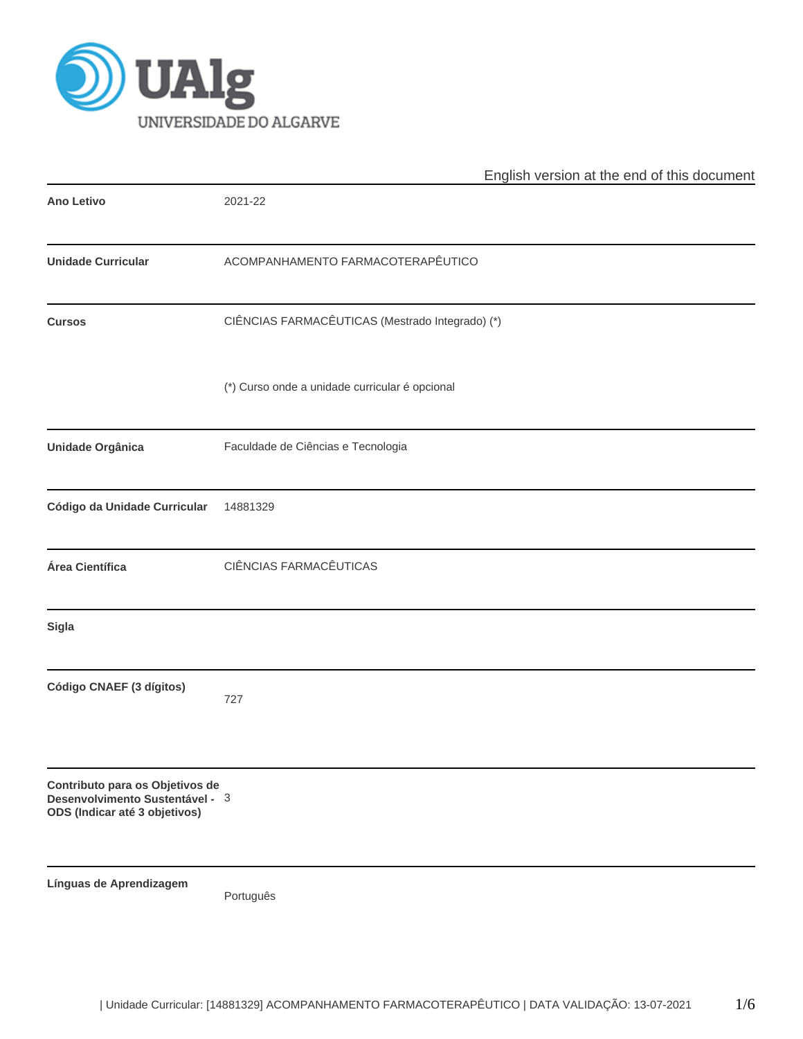

|                                                                                                     | English version at the end of this document     |
|-----------------------------------------------------------------------------------------------------|-------------------------------------------------|
| <b>Ano Letivo</b>                                                                                   | 2021-22                                         |
| <b>Unidade Curricular</b>                                                                           | ACOMPANHAMENTO FARMACOTERAPÊUTICO               |
| <b>Cursos</b>                                                                                       | CIÊNCIAS FARMACÊUTICAS (Mestrado Integrado) (*) |
|                                                                                                     | (*) Curso onde a unidade curricular é opcional  |
| Unidade Orgânica                                                                                    | Faculdade de Ciências e Tecnologia              |
| Código da Unidade Curricular                                                                        | 14881329                                        |
| Área Científica                                                                                     | CIÊNCIAS FARMACÊUTICAS                          |
| <b>Sigla</b>                                                                                        |                                                 |
| Código CNAEF (3 dígitos)                                                                            | 727                                             |
| Contributo para os Objetivos de<br>Desenvolvimento Sustentável - 3<br>ODS (Indicar até 3 objetivos) |                                                 |
| Línguas de Aprendizagem                                                                             | Português                                       |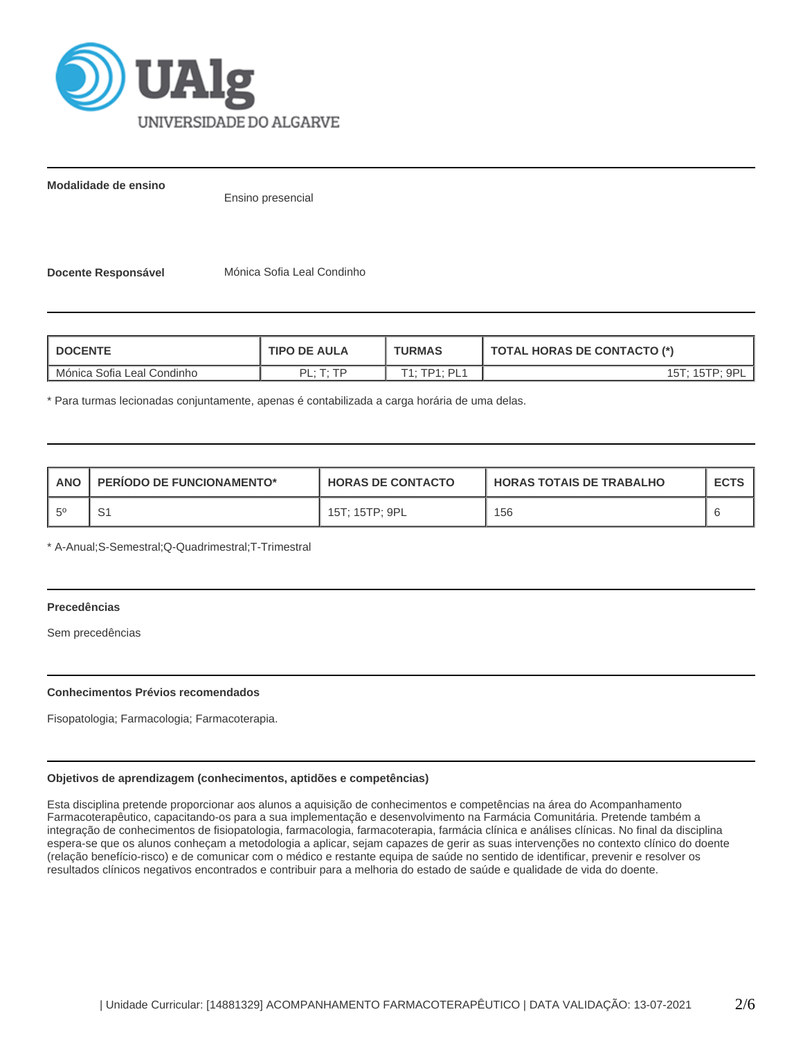

**Modalidade de ensino**

Ensino presencial

**Docente Responsável** Mónica Sofia Leal Condinho

| <b>DOCENTE</b>             | <b>TIPO DE AULA</b> | <b>TURMAS</b>                 | <b>TOTAL HORAS DE CONTACTO (*)</b> |  |  |
|----------------------------|---------------------|-------------------------------|------------------------------------|--|--|
| Mónica Sofia Leal Condinho | OI · T· TD          | $TP1 \cdot PI 1$<br>$T_{4}$ . | 15T: 15TP: 9Pl                     |  |  |

\* Para turmas lecionadas conjuntamente, apenas é contabilizada a carga horária de uma delas.

| <b>ANO</b>  | <b>PERIODO DE FUNCIONAMENTO*</b> | <b>HORAS DE CONTACTO</b> | <b>HORAS TOTAIS DE TRABALHO</b> | <b>ECTS</b> |
|-------------|----------------------------------|--------------------------|---------------------------------|-------------|
| $5^{\circ}$ | ັ                                | 15T; 15TP; 9PL           | 156                             |             |

\* A-Anual;S-Semestral;Q-Quadrimestral;T-Trimestral

# **Precedências**

Sem precedências

# **Conhecimentos Prévios recomendados**

Fisopatologia; Farmacologia; Farmacoterapia.

# **Objetivos de aprendizagem (conhecimentos, aptidões e competências)**

Esta disciplina pretende proporcionar aos alunos a aquisição de conhecimentos e competências na área do Acompanhamento Farmacoterapêutico, capacitando-os para a sua implementação e desenvolvimento na Farmácia Comunitária. Pretende também a integração de conhecimentos de fisiopatologia, farmacologia, farmacoterapia, farmácia clínica e análises clínicas. No final da disciplina espera-se que os alunos conheçam a metodologia a aplicar, sejam capazes de gerir as suas intervenções no contexto clínico do doente (relação benefício-risco) e de comunicar com o médico e restante equipa de saúde no sentido de identificar, prevenir e resolver os resultados clínicos negativos encontrados e contribuir para a melhoria do estado de saúde e qualidade de vida do doente.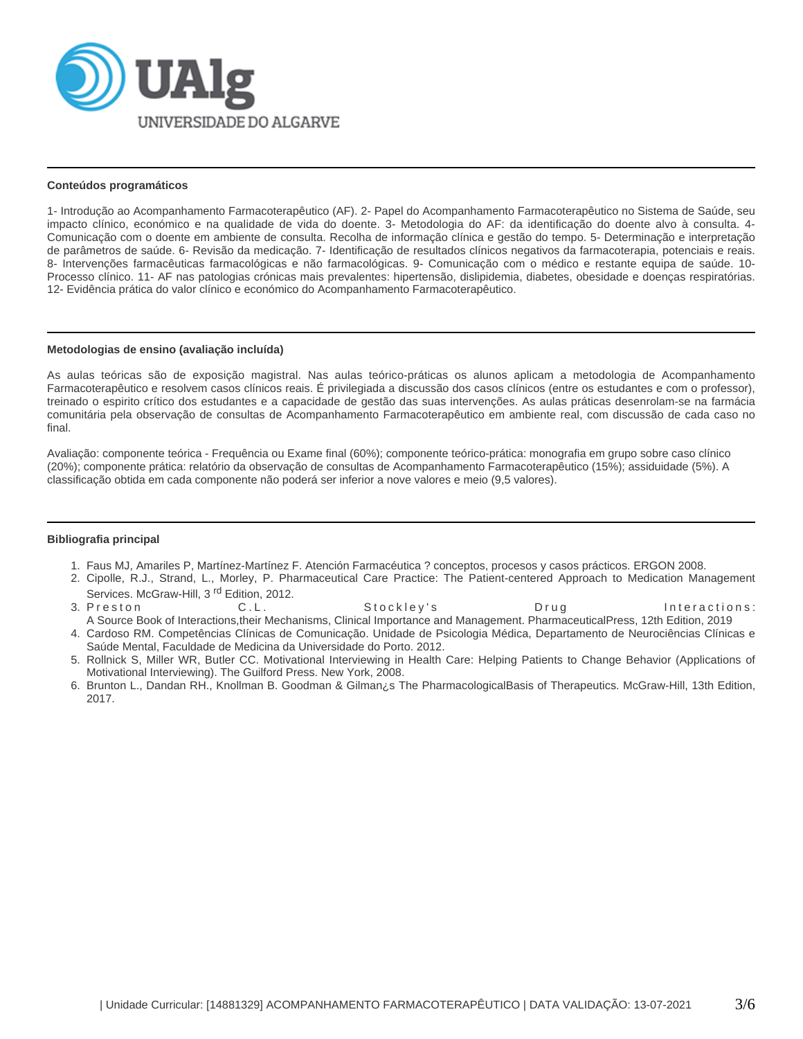

#### **Conteúdos programáticos**

1- Introdução ao Acompanhamento Farmacoterapêutico (AF). 2- Papel do Acompanhamento Farmacoterapêutico no Sistema de Saúde, seu impacto clínico, económico e na qualidade de vida do doente. 3- Metodologia do AF: da identificação do doente alvo à consulta. 4- Comunicação com o doente em ambiente de consulta. Recolha de informação clínica e gestão do tempo. 5- Determinação e interpretação de parâmetros de saúde. 6- Revisão da medicação. 7- Identificação de resultados clínicos negativos da farmacoterapia, potenciais e reais. 8- Intervenções farmacêuticas farmacológicas e não farmacológicas. 9- Comunicação com o médico e restante equipa de saúde. 10- Processo clínico. 11- AF nas patologias crónicas mais prevalentes: hipertensão, dislipidemia, diabetes, obesidade e doenças respiratórias. 12- Evidência prática do valor clínico e económico do Acompanhamento Farmacoterapêutico.

#### **Metodologias de ensino (avaliação incluída)**

As aulas teóricas são de exposição magistral. Nas aulas teórico-práticas os alunos aplicam a metodologia de Acompanhamento Farmacoterapêutico e resolvem casos clínicos reais. É privilegiada a discussão dos casos clínicos (entre os estudantes e com o professor), treinado o espirito crítico dos estudantes e a capacidade de gestão das suas intervenções. As aulas práticas desenrolam-se na farmácia comunitária pela observação de consultas de Acompanhamento Farmacoterapêutico em ambiente real, com discussão de cada caso no final.

Avaliação: componente teórica - Frequência ou Exame final (60%); componente teórico-prática: monografia em grupo sobre caso clínico (20%); componente prática: relatório da observação de consultas de Acompanhamento Farmacoterapêutico (15%); assiduidade (5%). A classificação obtida em cada componente não poderá ser inferior a nove valores e meio (9,5 valores).

# **Bibliografia principal**

- 1. Faus MJ, Amariles P, Martínez-Martínez F. Atención Farmacéutica ? conceptos, procesos y casos prácticos. ERGON 2008.
- 2. Cipolle, R.J., Strand, L., Morley, P. Pharmaceutical Care Practice: The Patient-centered Approach to Medication Management
- 3. Preston Services. McGraw-Hill,  $3^{rd}$  Edition, 2012.<br>Preston C. L. Stockley's Drug Drumber Drumber Drumber Drumber Stockley's
- 4. Cardoso RM. Competências Clínicas de Comunicação. Unidade de Psicologia Médica, Departamento de Neurociências Clínicas e A Source Book of Interactions,their Mechanisms, Clinical Importance and Management. PharmaceuticalPress, 12th Edition, 2019 Saúde Mental, Faculdade de Medicina da Universidade do Porto. 2012.
- 5. Rollnick S, Miller WR, Butler CC. Motivational Interviewing in Health Care: Helping Patients to Change Behavior (Applications of Motivational Interviewing). The Guilford Press. New York, 2008.
- 6. Brunton L., Dandan RH., Knollman B. Goodman & Gilman¿s The PharmacologicalBasis of Therapeutics. McGraw-Hill, 13th Edition, 2017.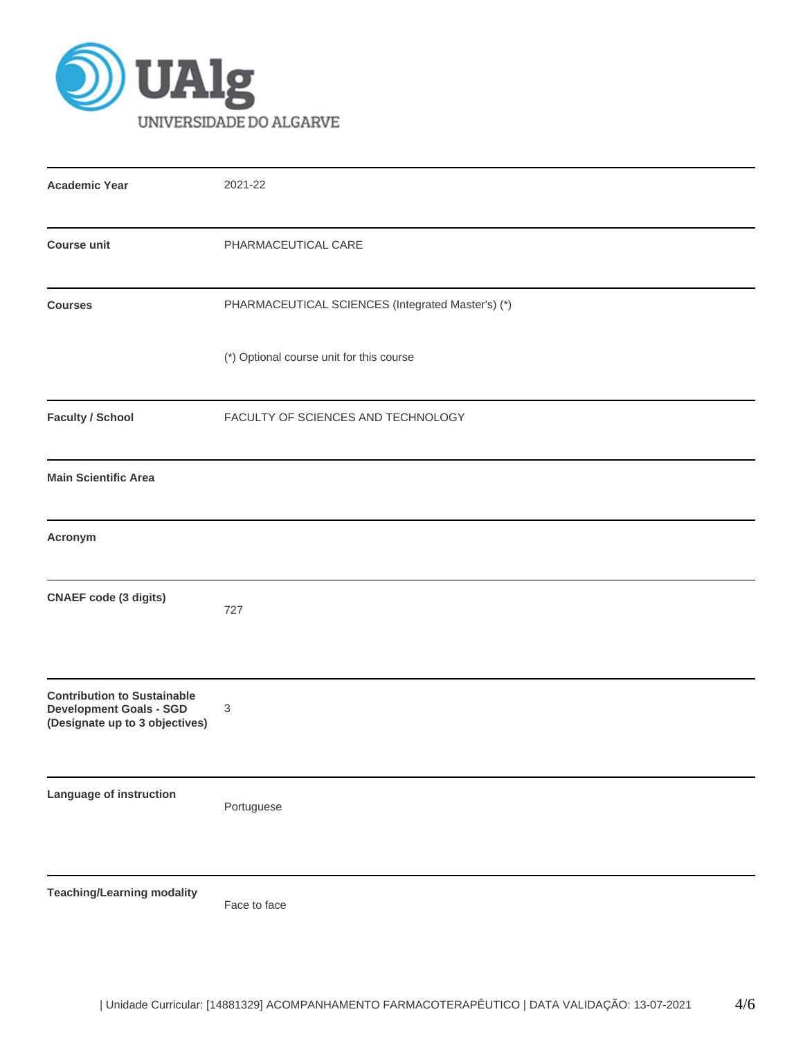

| <b>Academic Year</b>                                                                                   | 2021-22                                           |
|--------------------------------------------------------------------------------------------------------|---------------------------------------------------|
| <b>Course unit</b>                                                                                     | PHARMACEUTICAL CARE                               |
| <b>Courses</b>                                                                                         | PHARMACEUTICAL SCIENCES (Integrated Master's) (*) |
|                                                                                                        | (*) Optional course unit for this course          |
| <b>Faculty / School</b>                                                                                | FACULTY OF SCIENCES AND TECHNOLOGY                |
| <b>Main Scientific Area</b>                                                                            |                                                   |
| Acronym                                                                                                |                                                   |
| <b>CNAEF code (3 digits)</b>                                                                           | 727                                               |
| <b>Contribution to Sustainable</b><br><b>Development Goals - SGD</b><br>(Designate up to 3 objectives) | 3                                                 |
| Language of instruction                                                                                | Portuguese                                        |
| <b>Teaching/Learning modality</b>                                                                      | Face to face                                      |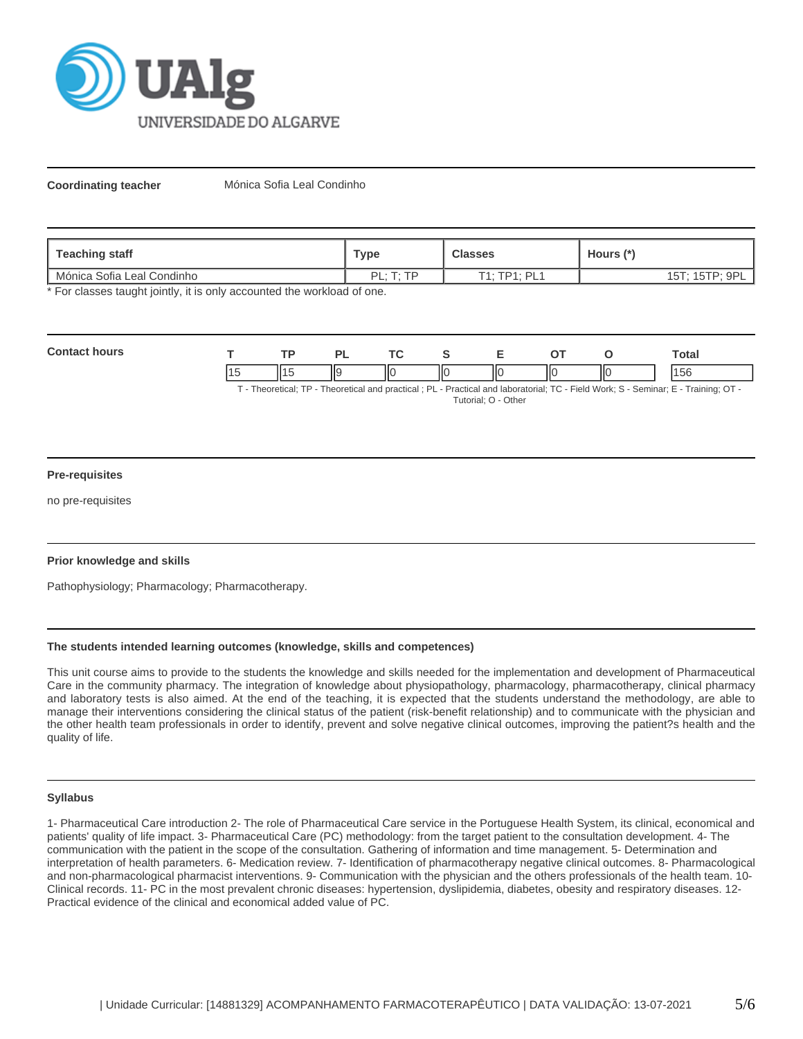

**Coordinating teacher** Mónica Sofia Leal Condinho

| Teaching staff             | Туре                   | <b>Classes</b> | Hours (*)      |  |
|----------------------------|------------------------|----------------|----------------|--|
| Mónica Sofia Leal Condinho | DI · T· TD<br><u>.</u> | T1: TP1: PL1   | 15T: 15TP: 9PL |  |

\* For classes taught jointly, it is only accounted the workload of one.

| Con | <b>TD</b> |    | $\mathbf{r}$ |    |    |     | σται |
|-----|-----------|----|--------------|----|----|-----|------|
|     |           | Πč | ١К           | ШC | ШC | ll( | bb   |

T - Theoretical; TP - Theoretical and practical ; PL - Practical and laboratorial; TC - Field Work; S - Seminar; E - Training; OT - Tutorial; O - Other

# **Pre-requisites**

no pre-requisites

# **Prior knowledge and skills**

Pathophysiology; Pharmacology; Pharmacotherapy.

# **The students intended learning outcomes (knowledge, skills and competences)**

This unit course aims to provide to the students the knowledge and skills needed for the implementation and development of Pharmaceutical Care in the community pharmacy. The integration of knowledge about physiopathology, pharmacology, pharmacotherapy, clinical pharmacy and laboratory tests is also aimed. At the end of the teaching, it is expected that the students understand the methodology, are able to manage their interventions considering the clinical status of the patient (risk-benefit relationship) and to communicate with the physician and the other health team professionals in order to identify, prevent and solve negative clinical outcomes, improving the patient?s health and the quality of life.

#### **Syllabus**

1- Pharmaceutical Care introduction 2- The role of Pharmaceutical Care service in the Portuguese Health System, its clinical, economical and patients' quality of life impact. 3- Pharmaceutical Care (PC) methodology: from the target patient to the consultation development. 4- The communication with the patient in the scope of the consultation. Gathering of information and time management. 5- Determination and interpretation of health parameters. 6- Medication review. 7- Identification of pharmacotherapy negative clinical outcomes. 8- Pharmacological and non-pharmacological pharmacist interventions. 9- Communication with the physician and the others professionals of the health team. 10- Clinical records. 11- PC in the most prevalent chronic diseases: hypertension, dyslipidemia, diabetes, obesity and respiratory diseases. 12- Practical evidence of the clinical and economical added value of PC.